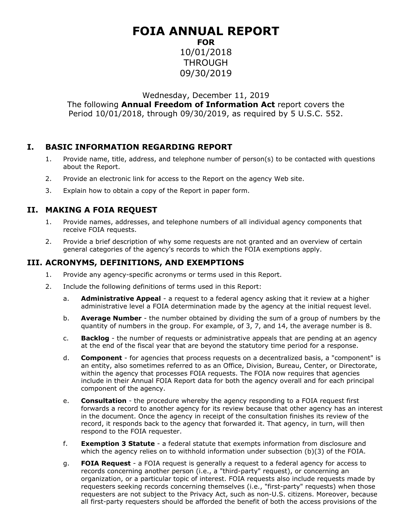## **FOIA ANNUAL REPORT FOR**

10/01/2018 THROUGH 09/30/2019

Wednesday, December 11, 2019

The following **Annual Freedom of Information Act** report covers the Period 10/01/2018, through 09/30/2019, as required by 5 U.S.C. 552.

## **I. BASIC INFORMATION REGARDING REPORT**

- 1. Provide name, title, address, and telephone number of person(s) to be contacted with questions about the Report.
- 2. Provide an electronic link for access to the Report on the agency Web site.
- 3. Explain how to obtain a copy of the Report in paper form.

## **II. MAKING A FOIA REQUEST**

- 1. Provide names, addresses, and telephone numbers of all individual agency components that receive FOIA requests.
- 2. Provide a brief description of why some requests are not granted and an overview of certain general categories of the agency's records to which the FOIA exemptions apply.

## **III. ACRONYMS, DEFINITIONS, AND EXEMPTIONS**

- 1. Provide any agency-specific acronyms or terms used in this Report.
- 2. Include the following definitions of terms used in this Report:
	- a. **Administrative Appeal** a request to a federal agency asking that it review at a higher administrative level a FOIA determination made by the agency at the initial request level.
	- b. **Average Number** the number obtained by dividing the sum of a group of numbers by the quantity of numbers in the group. For example, of 3, 7, and 14, the average number is 8.
	- c. **Backlog** the number of requests or administrative appeals that are pending at an agency at the end of the fiscal year that are beyond the statutory time period for a response.
	- d. **Component** for agencies that process requests on a decentralized basis, a "component" is an entity, also sometimes referred to as an Office, Division, Bureau, Center, or Directorate, within the agency that processes FOIA requests. The FOIA now requires that agencies include in their Annual FOIA Report data for both the agency overall and for each principal component of the agency.
	- e. **Consultation** the procedure whereby the agency responding to a FOIA request first forwards a record to another agency for its review because that other agency has an interest in the document. Once the agency in receipt of the consultation finishes its review of the record, it responds back to the agency that forwarded it. That agency, in turn, will then respond to the FOIA requester.
	- f. **Exemption 3 Statute** a federal statute that exempts information from disclosure and which the agency relies on to withhold information under subsection (b)(3) of the FOIA.
	- g. **FOIA Request** a FOIA request is generally a request to a federal agency for access to records concerning another person (i.e., a "third-party" request), or concerning an organization, or a particular topic of interest. FOIA requests also include requests made by requesters seeking records concerning themselves (i.e., "first-party" requests) when those requesters are not subject to the Privacy Act, such as non-U.S. citizens. Moreover, because all first-party requesters should be afforded the benefit of both the access provisions of the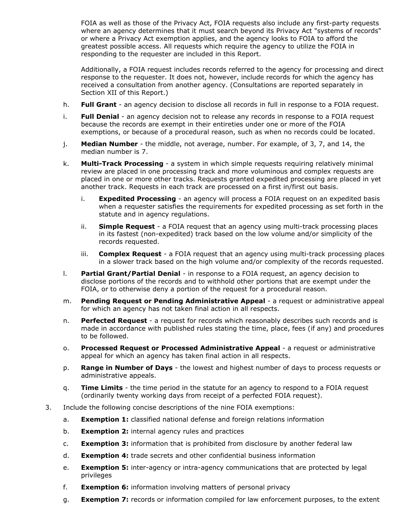FOIA as well as those of the Privacy Act, FOIA requests also include any first-party requests where an agency determines that it must search beyond its Privacy Act "systems of records" or where a Privacy Act exemption applies, and the agency looks to FOIA to afford the greatest possible access. All requests which require the agency to utilize the FOIA in responding to the requester are included in this Report.

Additionally, a FOIA request includes records referred to the agency for processing and direct response to the requester. It does not, however, include records for which the agency has received a consultation from another agency. (Consultations are reported separately in Section XII of this Report.)

- h. **Full Grant** an agency decision to disclose all records in full in response to a FOIA request.
- i. **Full Denial** an agency decision not to release any records in response to a FOIA request because the records are exempt in their entireties under one or more of the FOIA exemptions, or because of a procedural reason, such as when no records could be located.
- j. **Median Number** the middle, not average, number. For example, of 3, 7, and 14, the median number is 7.
- k. **Multi-Track Processing** a system in which simple requests requiring relatively minimal review are placed in one processing track and more voluminous and complex requests are placed in one or more other tracks. Requests granted expedited processing are placed in yet another track. Requests in each track are processed on a first in/first out basis.
	- i. **Expedited Processing** an agency will process a FOIA request on an expedited basis when a requester satisfies the requirements for expedited processing as set forth in the statute and in agency regulations.
	- ii. **Simple Request** a FOIA request that an agency using multi-track processing places in its fastest (non-expedited) track based on the low volume and/or simplicity of the records requested.
	- iii. **Complex Request** a FOIA request that an agency using multi-track processing places in a slower track based on the high volume and/or complexity of the records requested.
- l. **Partial Grant/Partial Denial** in response to a FOIA request, an agency decision to disclose portions of the records and to withhold other portions that are exempt under the FOIA, or to otherwise deny a portion of the request for a procedural reason.
- m. **Pending Request or Pending Administrative Appeal** a request or administrative appeal for which an agency has not taken final action in all respects.
- n. **Perfected Request** a request for records which reasonably describes such records and is made in accordance with published rules stating the time, place, fees (if any) and procedures to be followed.
- o. **Processed Request or Processed Administrative Appeal**  a request or administrative appeal for which an agency has taken final action in all respects.
- p. **Range in Number of Days** the lowest and highest number of days to process requests or administrative appeals.
- q. **Time Limits** the time period in the statute for an agency to respond to a FOIA request (ordinarily twenty working days from receipt of a perfected FOIA request).
- 3. Include the following concise descriptions of the nine FOIA exemptions:
	- a. **Exemption 1:** classified national defense and foreign relations information
	- b. **Exemption 2:** internal agency rules and practices
	- c. **Exemption 3:** information that is prohibited from disclosure by another federal law
	- d. **Exemption 4:** trade secrets and other confidential business information
	- e. **Exemption 5:** inter-agency or intra-agency communications that are protected by legal privileges
	- f. **Exemption 6:** information involving matters of personal privacy
	- g. **Exemption 7:** records or information compiled for law enforcement purposes, to the extent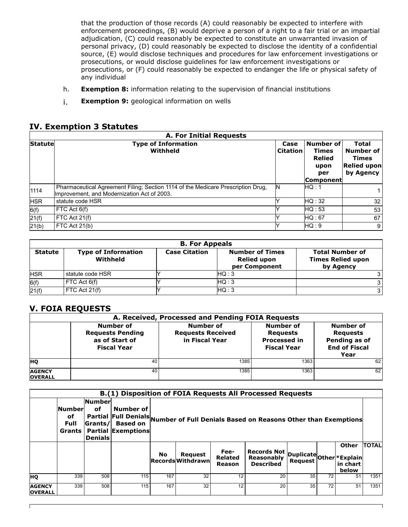that the production of those records (A) could reasonably be expected to interfere with enforcement proceedings, (B) would deprive a person of a right to a fair trial or an impartial adjudication, (C) could reasonably be expected to constitute an unwarranted invasion of personal privacy, (D) could reasonably be expected to disclose the identity of a confidential source, (E) would disclose techniques and procedures for law enforcement investigations or prosecutions, or would disclose guidelines for law enforcement investigations or prosecutions, or (F) could reasonably be expected to endanger the life or physical safety of any individual

- h. **Exemption 8:** information relating to the supervision of financial institutions
- i. **Exemption 9:** geological information on wells

#### **IV. Exemption 3 Statutes**

|                | <b>A. For Initial Requests</b>                                                                                                  |                         |                                                                         |                                                                              |
|----------------|---------------------------------------------------------------------------------------------------------------------------------|-------------------------|-------------------------------------------------------------------------|------------------------------------------------------------------------------|
| <b>Statute</b> | <b>Type of Information</b><br>Withheld                                                                                          | Case<br><b>Citation</b> | Number of<br><b>Times</b><br><b>Relied</b><br>upon<br>per<br> Component | <b>Total</b><br>Number of<br><b>Times</b><br><b>Relied upon</b><br>by Agency |
| 1114           | Pharmaceutical Agreement Filing; Section 1114 of the Medicare Prescription Drug,<br>Improvement, and Modernization Act of 2003. | N                       | HQ : 1                                                                  |                                                                              |
| <b>HSR</b>     | statute code HSR                                                                                                                |                         | HO:32                                                                   | 32                                                                           |
| 6(f)           | FTC Act 6(f)                                                                                                                    |                         | HG:53                                                                   | 53                                                                           |
| 21(f)          | FTC Act 21(f)                                                                                                                   |                         | HQ: 67                                                                  | 67                                                                           |
| 21(b)          | FTC Act 21(b)                                                                                                                   |                         | HO:9                                                                    | 9                                                                            |

|                | <b>B. For Appeals</b>                  |                      |                                                               |                                                                 |  |  |  |  |  |  |  |  |
|----------------|----------------------------------------|----------------------|---------------------------------------------------------------|-----------------------------------------------------------------|--|--|--|--|--|--|--|--|
| <b>Statute</b> | <b>Type of Information</b><br>Withheld | <b>Case Citation</b> | <b>Number of Times</b><br><b>Relied upon</b><br>per Component | <b>Total Number of</b><br><b>Times Relied upon</b><br>by Agency |  |  |  |  |  |  |  |  |
| <b>HSR</b>     | statute code HSR                       |                      | HA:3                                                          |                                                                 |  |  |  |  |  |  |  |  |
| 6(f)           | FTC Act 6(f)                           |                      | HAQ:3                                                         |                                                                 |  |  |  |  |  |  |  |  |
| 21(f)          | FTC Act 21(f)                          |                      | HG:3                                                          |                                                                 |  |  |  |  |  |  |  |  |

#### **V. FOIA REQUESTS**

|                                 |                                                                                     | A. Received, Processed and Pending FOIA Requests               |                                                                           |                                                                               |
|---------------------------------|-------------------------------------------------------------------------------------|----------------------------------------------------------------|---------------------------------------------------------------------------|-------------------------------------------------------------------------------|
|                                 | <b>Number of</b><br><b>Requests Pending</b><br>as of Start of<br><b>Fiscal Year</b> | <b>Number of</b><br><b>Requests Received</b><br>in Fiscal Year | Number of<br><b>Requests</b><br><b>Processed in</b><br><b>Fiscal Year</b> | Number of<br><b>Requests</b><br>Pending as of<br><b>End of Fiscal</b><br>Year |
| <b>HO</b>                       | 40                                                                                  | 1385                                                           | 1363                                                                      | 62                                                                            |
| <b>AGENCY</b><br><b>OVERALL</b> | 40                                                                                  | 1385                                                           | 1363                                                                      | 62                                                                            |

|                                 |                                              |                                                    |                                                           |                                                                                    |                                            |                                  | B.(1) Disposition of FOIA Requests All Processed Requests                            |    |    |                       |              |  |
|---------------------------------|----------------------------------------------|----------------------------------------------------|-----------------------------------------------------------|------------------------------------------------------------------------------------|--------------------------------------------|----------------------------------|--------------------------------------------------------------------------------------|----|----|-----------------------|--------------|--|
|                                 | <b>Number</b><br>оf<br>Full<br><b>Grants</b> | <b>Number</b><br>οf<br> Grants/ <br><b>Denials</b> | Number of<br><b>Based on</b><br><b>Partial Exemptions</b> | Partial Full Denials Number of Full Denials Based on Reasons Other than Exemptions |                                            |                                  |                                                                                      |    |    |                       |              |  |
|                                 |                                              |                                                    |                                                           | No                                                                                 | <b>Request</b><br><b>Records Withdrawn</b> | Fee-<br><b>Related</b><br>Reason | Records Not   Duplicate <br>  Reasonably    Request   Other  *Explain <br>  in chart |    |    | <b>Other</b><br>below | <b>TOTAL</b> |  |
| <b>HO</b>                       | 339                                          | 508                                                | 115                                                       | 167                                                                                | 32                                         | 12                               | 20                                                                                   | 35 | 72 | 51                    | 1351         |  |
| <b>AGENCY</b><br><b>OVERALL</b> | 339                                          | 508                                                | 115                                                       | 167                                                                                | 32                                         | 12                               | 20                                                                                   | 35 | 72 | 51                    | 1351         |  |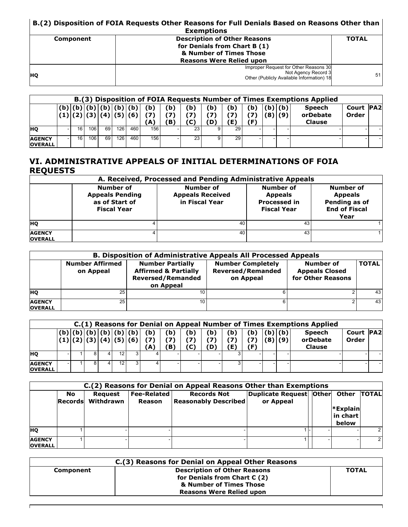#### **B.(2) Disposition of FOIA Requests Other Reasons for Full Denials Based on Reasons Other than Exemptions**

|           | Exemptions                                                                                                |              |
|-----------|-----------------------------------------------------------------------------------------------------------|--------------|
| Component | <b>Description of Other Reasons</b>                                                                       | <b>TOTAL</b> |
|           | for Denials from Chart B (1)                                                                              |              |
|           | & Number of Times Those                                                                                   |              |
|           | <b>Reasons Were Relied upon</b>                                                                           |              |
| <b>HO</b> | Improper Request for Other Reasons 30<br>Not Agency Record 3<br>Other (Publicly Available Information) 18 | 51           |

|                                 | B.(3) Disposition of FOIA Requests Number of Times Exemptions Applied |    |             |      |     |                                      |            |            |                   |                   |     |    |            |            |                                            |                           |  |
|---------------------------------|-----------------------------------------------------------------------|----|-------------|------|-----|--------------------------------------|------------|------------|-------------------|-------------------|-----|----|------------|------------|--------------------------------------------|---------------------------|--|
|                                 |                                                                       |    | (b) (b) (b) |      |     | (b)(b)(b)<br>(1) (2) (3) (4) (5) (6) | (b)<br>'A` | (b)<br>'B) | (b)<br>י ל<br>(C) | (b)<br>ידי<br>(D) | ſЬ. | 'Ы | (b)<br>(8) | (b)<br>(9) | <b>Speech</b><br>orDebate<br><b>Clause</b> | <b>Court PA2</b><br>Order |  |
| <b>HO</b>                       |                                                                       | 16 | 106         | 69 I | 126 | 460                                  | 156        |            | 23                |                   | 29  |    |            |            |                                            |                           |  |
| <b>AGENCY</b><br><b>OVERALL</b> |                                                                       | 16 | 106         | 69   | 126 | 460                                  | 156        |            | 23 <sub>1</sub>   |                   | 29  |    |            |            |                                            |                           |  |

#### **VI. ADMINISTRATIVE APPEALS OF INITIAL DETERMINATIONS OF FOIA REQUESTS**

|                                 |                                                                             | A. Received, Processed and Pending Administrative Appeals |                                                                          |                                                                              |
|---------------------------------|-----------------------------------------------------------------------------|-----------------------------------------------------------|--------------------------------------------------------------------------|------------------------------------------------------------------------------|
|                                 | Number of<br><b>Appeals Pending</b><br>as of Start of<br><b>Fiscal Year</b> | Number of<br><b>Appeals Received</b><br>in Fiscal Year    | Number of<br><b>Appeals</b><br><b>Processed in</b><br><b>Fiscal Year</b> | Number of<br><b>Appeals</b><br>Pending as of<br><b>End of Fiscal</b><br>Year |
| <b>HO</b>                       |                                                                             | 40                                                        | 43                                                                       |                                                                              |
| <b>AGENCY</b><br><b>OVERALL</b> |                                                                             | 40                                                        | 43                                                                       |                                                                              |

|                                 |                                     | <b>B. Disposition of Administrative Appeals All Processed Appeals</b>                               |                                                                   |                                                         |              |
|---------------------------------|-------------------------------------|-----------------------------------------------------------------------------------------------------|-------------------------------------------------------------------|---------------------------------------------------------|--------------|
|                                 | <b>Number Affirmed</b><br>on Appeal | <b>Number Partially</b><br><b>Affirmed &amp; Partially</b><br><b>Reversed/Remanded</b><br>on Appeal | <b>Number Completely</b><br><b>Reversed/Remanded</b><br>on Appeal | Number of<br><b>Appeals Closed</b><br>for Other Reasons | <b>TOTAL</b> |
| <b>HO</b>                       | 25                                  | 10                                                                                                  |                                                                   |                                                         | 431          |
| <b>AGENCY</b><br><b>OVERALL</b> | 25                                  | 10                                                                                                  | հ․                                                                |                                                         | 431          |

|                                 |  |     |     |                                |                 |                  |                   |                  |            |     |        |        | C.(1) Reasons for Denial on Appeal Number of Times Exemptions Applied |                           |  |
|---------------------------------|--|-----|-----|--------------------------------|-----------------|------------------|-------------------|------------------|------------|-----|--------|--------|-----------------------------------------------------------------------|---------------------------|--|
|                                 |  | (b) | (b) | (b)<br>(1) (2) (3) (4) (5) (6) | (b)<br>71<br>A. | (b)<br>(7)<br>B) | (b)<br>(7)<br>(C) | (b)<br>71<br>(D) | (b)<br>(E) | ′Ь) | (b)(b) | (8)(9) | <b>Speech</b><br>orDebate<br><b>Clause</b>                            | <b>Court PA2</b><br>Order |  |
| <b>HO</b>                       |  |     | 12  |                                |                 |                  |                   |                  |            |     |        |        |                                                                       |                           |  |
| <b>AGENCY</b><br><b>OVERALL</b> |  |     | 12  |                                |                 |                  |                   |                  | 3          |     |        |        |                                                                       |                           |  |

|                                 |                      |                             |                              | C.(2) Reasons for Denial on Appeal Reasons Other than Exemptions |                                                        |                               |             |
|---------------------------------|----------------------|-----------------------------|------------------------------|------------------------------------------------------------------|--------------------------------------------------------|-------------------------------|-------------|
|                                 | No<br><b>Records</b> | <b>Request</b><br>Withdrawn | <b>Fee-Related</b><br>Reason | <b>Records Not</b><br>Reasonably Described                       | Duplicate Request   Other   Other   TOTAL<br>or Appeal | *Explain<br>in chart<br>below |             |
| <b>HO</b>                       |                      |                             |                              |                                                                  |                                                        |                               |             |
| <b>AGENCY</b><br><b>OVERALL</b> |                      |                             |                              |                                                                  |                                                        |                               | $2^{\circ}$ |

| C.(3) Reasons for Denial on Appeal Other Reasons |                                     |              |  |  |  |  |  |  |  |
|--------------------------------------------------|-------------------------------------|--------------|--|--|--|--|--|--|--|
| Component                                        | <b>Description of Other Reasons</b> | <b>TOTAL</b> |  |  |  |  |  |  |  |
|                                                  | for Denials from Chart C (2)        |              |  |  |  |  |  |  |  |
|                                                  | & Number of Times Those             |              |  |  |  |  |  |  |  |
|                                                  | <b>Reasons Were Relied upon</b>     |              |  |  |  |  |  |  |  |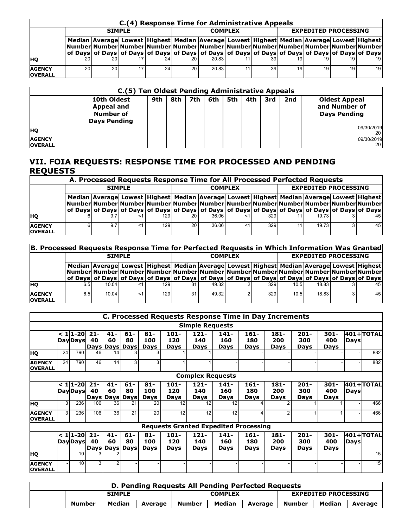|                                 |    |                 |    |    | C.(4) Response Time for Administrative Appeals                                                              |    |    |                                                                                                                                                                                                          |                             |    |                 |
|---------------------------------|----|-----------------|----|----|-------------------------------------------------------------------------------------------------------------|----|----|----------------------------------------------------------------------------------------------------------------------------------------------------------------------------------------------------------|-----------------------------|----|-----------------|
|                                 |    | <b>SIMPLE</b>   |    |    | <b>COMPLEX</b>                                                                                              |    |    |                                                                                                                                                                                                          | <b>EXPEDITED PROCESSING</b> |    |                 |
|                                 |    |                 |    |    |                                                                                                             |    |    | Median Average Lowest   Highest   Median   Average   Lowest   Highest   Median   Average Lowest   Highest<br> Number Number Number Number Number Number Number Number Number Number Number Number Number |                             |    |                 |
|                                 |    |                 |    |    | of Days   of Days   of Days   of Days   of Days   of Days   of Days   of Days   of Days   of Days   of Days |    |    |                                                                                                                                                                                                          |                             |    |                 |
| <b>HO</b>                       | 20 | 20 I            | 24 | 20 | 20.83                                                                                                       | 11 | 39 | 19                                                                                                                                                                                                       |                             | 19 | 19 <sup>1</sup> |
| <b>AGENCY</b><br><b>OVERALL</b> | 20 | 20 <sup>1</sup> | 24 | 20 | 20.83                                                                                                       | 11 | 39 | 19 <sup>1</sup>                                                                                                                                                                                          |                             | 19 | 19 <sup>1</sup> |

|                                 | C.(5) Ten Oldest Pending Administrative Appeals               |     |     |     |     |     |     |     |     |                                                              |
|---------------------------------|---------------------------------------------------------------|-----|-----|-----|-----|-----|-----|-----|-----|--------------------------------------------------------------|
|                                 | 10th Oldest<br>Appeal and<br>Number of<br><b>Days Pending</b> | 9th | 8th | 7th | 6th | 5th | 4th | 3rd | 2nd | <b>Oldest Appeal</b><br>and Number of<br><b>Days Pending</b> |
| <b>HQ</b>                       |                                                               |     |     |     |     |     |     |     |     | 09/30/2019                                                   |
| <b>AGENCY</b><br><b>OVERALL</b> |                                                               |     |     |     |     |     |     |     |     | 09/30/2019<br>20                                             |

#### **VII. FOIA REQUESTS: RESPONSE TIME FOR PROCESSED AND PENDING REQUESTS**

|                                 | A. Processed Requests Response Time for All Processed Perfected Requests |    |  |       |                |                                                                                                                                                                                                                                                                                                                             |    |     |                             |                    |  |    |
|---------------------------------|--------------------------------------------------------------------------|----|--|-------|----------------|-----------------------------------------------------------------------------------------------------------------------------------------------------------------------------------------------------------------------------------------------------------------------------------------------------------------------------|----|-----|-----------------------------|--------------------|--|----|
|                                 | <b>SIMPLE</b>                                                            |    |  |       | <b>COMPLEX</b> |                                                                                                                                                                                                                                                                                                                             |    |     | <b>EXPEDITED PROCESSING</b> |                    |  |    |
|                                 |                                                                          |    |  |       |                | Median Average Lowest   Highest   Median   Average Lowest   Highest   Median   Average Lowest   Highest  <br>Number Number Number Number Number Number Number Number Number Number Number Number Number <br>of Days of Days of Days of Days of Days of Days of Days of Days of Days of Days of Days of Days of Days of Days |    |     |                             |                    |  |    |
| <b>HO</b>                       |                                                                          |    |  | 129 I | 20             | 36.06                                                                                                                                                                                                                                                                                                                       | ≺1 | 329 |                             | 19 73              |  | 45 |
| <b>AGENCY</b><br><b>OVERALL</b> |                                                                          | 97 |  | 129 I | 20             | 36.06                                                                                                                                                                                                                                                                                                                       | <1 | 329 |                             | 19.73 <sub>1</sub> |  | 45 |

|                                 | B. Processed Requests Response Time for Perfected Requests in Which Information Was Granted |      |  |     |                |                                                                                                                                                                                                          |  |     |                             |       |  |    |
|---------------------------------|---------------------------------------------------------------------------------------------|------|--|-----|----------------|----------------------------------------------------------------------------------------------------------------------------------------------------------------------------------------------------------|--|-----|-----------------------------|-------|--|----|
|                                 | <b>SIMPLE</b>                                                                               |      |  |     | <b>COMPLEX</b> |                                                                                                                                                                                                          |  |     | <b>EXPEDITED PROCESSING</b> |       |  |    |
|                                 |                                                                                             |      |  |     |                | Median Average Lowest   Highest   Median   Average Lowest   Highest   Median   Average Lowest   Highest  <br> Number Number Number Number Number Number Number Number Number Number Number Number Number |  |     |                             |       |  |    |
|                                 |                                                                                             |      |  |     |                | of Days of Days of Days of Days of Days of Days of Days of Days of Days of Days of Days of Days of Days of Days                                                                                          |  |     |                             |       |  |    |
| <b>HO</b>                       | 6.5                                                                                         | 1004 |  | 129 | 31             | 49.32                                                                                                                                                                                                    |  | 329 | 10.5                        | 18.83 |  | 45 |
| <b>AGENCY</b><br><b>OVERALL</b> | 6.5                                                                                         | 1004 |  | 129 | 31             | 49.32                                                                                                                                                                                                    |  | 329 | 10.5                        | 1883  |  | 45 |

|                                 |                 |                               |              |                                |                                |                              |                        |                               |                               |                                              | C. Processed Requests Response Time in Day Increments |                               |                        |             |              |
|---------------------------------|-----------------|-------------------------------|--------------|--------------------------------|--------------------------------|------------------------------|------------------------|-------------------------------|-------------------------------|----------------------------------------------|-------------------------------------------------------|-------------------------------|------------------------|-------------|--------------|
|                                 |                 |                               |              |                                |                                |                              |                        | <b>Simple Requests</b>        |                               |                                              |                                                       |                               |                        |             |              |
|                                 |                 | $< 11 - 20$<br><b>DayDays</b> | $21 -$<br>40 | $41 -$<br>60                   | $61 -$<br>80<br>Days Days Days | $81 -$<br>100<br><b>Days</b> | $101 -$<br>120<br>Days | $121 -$<br>140<br><b>Days</b> | $141 -$<br>160<br>Days        | $161 -$<br>180<br>Days                       | $181 -$<br>200<br>Days                                | $201 -$<br>300<br>Days        | $301 -$<br>400<br>Days | <b>Days</b> | $401+$ TOTAL |
| HO                              | 24              | 790                           | 46           | 14                             |                                | 3                            |                        |                               |                               |                                              |                                                       |                               |                        |             | 882          |
| <b>AGENCY</b><br><b>OVERALL</b> | $\overline{24}$ | 790                           | 46           | 14                             | 3                              | $\overline{3}$               |                        |                               |                               |                                              |                                                       |                               |                        |             | 882          |
|                                 |                 |                               |              |                                |                                |                              |                        | <b>Complex Requests</b>       |                               |                                              |                                                       |                               |                        |             |              |
|                                 |                 | $< 1 1-20 $<br><b>DayDays</b> | $21 -$<br>40 | $41 -$<br>60<br>Days Days Days | $61 -$<br>80                   | $81 -$<br>100<br>Days        | $101 -$<br>120<br>Days | $121 -$<br>140<br>Days        | $141 -$<br>160<br>Days        | $161 -$<br>180<br>Days                       | $181 -$<br>200<br>Days                                | $201 -$<br>300<br>Days        | $301 -$<br>400<br>Days | Daysl       | 401+ TOTAL   |
| HQ                              | 3               | 236                           | 106          | 36                             | 21                             | 20                           | 12                     | 12                            | 12                            | 4                                            |                                                       |                               |                        |             | 466          |
| <b>AGENCY</b><br><b>OVERALL</b> | 3 <sup>1</sup>  | 236                           | 106          | 36                             | 21                             | 20                           | 12                     | 12                            | 12                            | 4                                            | $\overline{2}$                                        |                               |                        |             | 466          |
|                                 |                 |                               |              |                                |                                |                              |                        |                               |                               | <b>Requests Granted Expedited Processing</b> |                                                       |                               |                        |             |              |
|                                 |                 | $< 11 - 20$<br><b>DayDays</b> | $21 -$<br>40 | $41 -$<br>60                   | $61 -$<br>80<br>Days Days Days | $81 -$<br>100<br>Days        | $101 -$<br>120<br>Days | $121 -$<br>140<br>Days        | $141 -$<br>160<br><b>Days</b> | 161-<br>180<br>Days                          | 181-<br>200<br>Days                                   | $201 -$<br>300<br><b>Days</b> | $301 -$<br>400<br>Days | <b>Days</b> | $401+$ TOTAL |
| HQ                              |                 | 10 <sup>1</sup>               |              |                                |                                |                              |                        |                               |                               |                                              |                                                       |                               |                        |             | 15           |
| <b>AGENCY</b><br><b>OVERALL</b> |                 | 10 <sup>1</sup>               | 3            | $\overline{2}$                 |                                |                              |                        |                               |                               |                                              |                                                       |                               |                        |             | 15           |

| D. Pending Requests All Pending Perfected Requests |               |        |         |                |        |         |                             |        |         |
|----------------------------------------------------|---------------|--------|---------|----------------|--------|---------|-----------------------------|--------|---------|
|                                                    | <b>SIMPLE</b> |        |         | <b>COMPLEX</b> |        |         | <b>EXPEDITED PROCESSING</b> |        |         |
|                                                    | Number        | Median | Average | <b>Number</b>  | Median | Average | Number                      | Median | Average |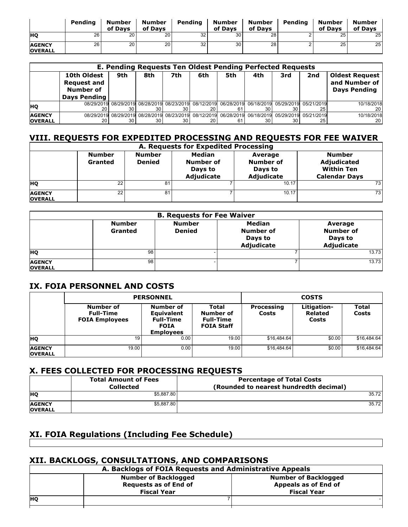|                                 | Pendina | Number<br>of Davs | <b>Number</b><br>of Davs | Pending | Number<br>of Davs | Number<br>of Davs | Pending | Number<br>of Davs | <b>Number</b><br>of Davs |
|---------------------------------|---------|-------------------|--------------------------|---------|-------------------|-------------------|---------|-------------------|--------------------------|
| <b>HO</b>                       | 26      | 20                | 20                       | 32      | 30                | 28                | ∠       | 25                | 25 <sub>1</sub>          |
| <b>AGENCY</b><br><b>OVERALL</b> | 26      | 20                | 20                       | 32      | 30                | 28                |         | 25                | 25 <sub>1</sub>          |

| E. Pending Requests Ten Oldest Pending Perfected Requests |                                                                       |     |     |     |     |                                                                                               |     |     |     |                                                               |
|-----------------------------------------------------------|-----------------------------------------------------------------------|-----|-----|-----|-----|-----------------------------------------------------------------------------------------------|-----|-----|-----|---------------------------------------------------------------|
|                                                           | 10th Oldest<br><b>Request and</b><br>Number of<br><b>Days Pending</b> | 9th | 8th | 7th | 6th | 5th                                                                                           | 4th | 3rd | 2nd | <b>Oldest Request</b><br>and Number of<br><b>Days Pending</b> |
| <b>HO</b>                                                 | 08/29/2019                                                            |     | 30  |     |     | 08/29/2019 08/28/2019 08/23/2019 08/12/2019 06/28/2019 06/18/2019 05/29/2019 05/21/2019       |     | 30  | 25  | 10/18/2018<br>20                                              |
| <b>AGENCY</b><br><b>OVERALL</b>                           | 08/29/2019                                                            |     | 30  |     | 20  | 08/29/2019 08/28/2019 08/23/2019 08/12/2019 06/28/2019 06/18/2019 05/29/2019 05/21/2019<br>61 | 30  | 30  | 25  | 10/18/2018<br>20 I                                            |

## **VIII. REQUESTS FOR EXPEDITED PROCESSING AND REQUESTS FOR FEE WAIVER**

|                                 | A. Requests for Expedited Processing |                                |                                                     |                                               |                                                                           |  |  |  |
|---------------------------------|--------------------------------------|--------------------------------|-----------------------------------------------------|-----------------------------------------------|---------------------------------------------------------------------------|--|--|--|
|                                 | <b>Number</b><br>Granted             | <b>Number</b><br><b>Denied</b> | <b>Median</b><br>Number of<br>Days to<br>Adjudicate | Average<br>Number of<br>Days to<br>Adjudicate | <b>Number</b><br>Adjudicated<br><b>Within Ten</b><br><b>Calendar Days</b> |  |  |  |
| <b>HO</b>                       | 22                                   | 81                             |                                                     | 10.17                                         | 73 <sub>1</sub>                                                           |  |  |  |
| <b>AGENCY</b><br><b>OVERALL</b> | 22                                   | 81                             |                                                     | 10.17                                         | 73 <sub>1</sub>                                                           |  |  |  |

| <b>B. Requests for Fee Waiver</b> |                          |                                |                                                     |                                                      |  |  |
|-----------------------------------|--------------------------|--------------------------------|-----------------------------------------------------|------------------------------------------------------|--|--|
|                                   | <b>Number</b><br>Granted | <b>Number</b><br><b>Denied</b> | <b>Median</b><br>Number of<br>Days to<br>Adjudicate | Average<br><b>Number of</b><br>Days to<br>Adjudicate |  |  |
| <b>HO</b>                         | 98                       |                                |                                                     | 13.73                                                |  |  |
| <b>AGENCY</b><br><b>OVERALL</b>   | 98                       |                                |                                                     | 13.73                                                |  |  |

## **IX. FOIA PERSONNEL AND COSTS**

|                                 |                                                        | <b>PERSONNEL</b>                                                                      |                                                             | <b>COSTS</b>        |                                        |                       |  |
|---------------------------------|--------------------------------------------------------|---------------------------------------------------------------------------------------|-------------------------------------------------------------|---------------------|----------------------------------------|-----------------------|--|
|                                 | Number of<br><b>Full-Time</b><br><b>FOIA Employees</b> | Number of<br><b>Equivalent</b><br><b>Full-Time</b><br><b>FOIA</b><br><b>Employees</b> | Total<br>Number of<br><b>Full-Time</b><br><b>FOIA Staff</b> | Processing<br>Costs | Litigation-<br><b>Related</b><br>Costs | <b>Total</b><br>Costs |  |
| <b>HQ</b>                       | 19                                                     | 0.00                                                                                  | 19.00                                                       | \$16,484.64         | \$0.00                                 | \$16,484.64           |  |
| <b>AGENCY</b><br><b>OVERALL</b> | 19.00                                                  | 0.00                                                                                  | 19.00                                                       | \$16,484.64         | \$0.00                                 | \$16,484.64           |  |

## **X. FEES COLLECTED FOR PROCESSING REQUESTS**

|                                 | <b>Total Amount of Fees</b><br><b>Collected</b> | <b>Percentage of Total Costs</b><br>(Rounded to nearest hundredth decimal) |
|---------------------------------|-------------------------------------------------|----------------------------------------------------------------------------|
| <b>HO</b>                       | \$5,887.80                                      | 35.72                                                                      |
| <b>AGENCY</b><br><b>OVERALL</b> | \$5.887.80                                      | 35.72                                                                      |

## **XI. FOIA Regulations (Including Fee Schedule)**

## **XII. BACKLOGS, CONSULTATIONS, AND COMPARISONS**

| A. Backlogs of FOIA Requests and Administrative Appeals    |                              |                      |  |  |  |  |  |  |
|------------------------------------------------------------|------------------------------|----------------------|--|--|--|--|--|--|
| <b>Number of Backlogged</b><br><b>Number of Backlogged</b> |                              |                      |  |  |  |  |  |  |
|                                                            | <b>Requests as of End of</b> | Appeals as of End of |  |  |  |  |  |  |
|                                                            | <b>Fiscal Year</b>           | <b>Fiscal Year</b>   |  |  |  |  |  |  |
| <b>HO</b>                                                  |                              |                      |  |  |  |  |  |  |
|                                                            |                              |                      |  |  |  |  |  |  |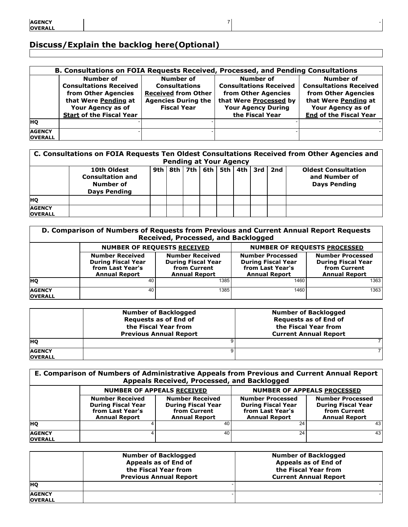# **Discuss/Explain the backlog here(Optional)**

|                                 | B. Consultations on FOIA Requests Received, Processed, and Pending Consultations                                                                  |                                                                                                                            |                                                                                                                                             |                                                                                                                                                        |  |  |  |  |
|---------------------------------|---------------------------------------------------------------------------------------------------------------------------------------------------|----------------------------------------------------------------------------------------------------------------------------|---------------------------------------------------------------------------------------------------------------------------------------------|--------------------------------------------------------------------------------------------------------------------------------------------------------|--|--|--|--|
|                                 | Number of<br><b>Consultations Received</b><br>from Other Agencies<br>that Were Pending at<br>Your Agency as of<br><b>Start of the Fiscal Year</b> | <b>Number of</b><br><b>Consultations</b><br><b>Received from Other</b><br><b>Agencies During the</b><br><b>Fiscal Year</b> | Number of<br><b>Consultations Received</b><br>from Other Agencies<br>that Were Processed by<br><b>Your Agency During</b><br>the Fiscal Year | <b>Number of</b><br><b>Consultations Received</b><br>from Other Agencies<br>that Were Pending at<br>Your Agency as of<br><b>End of the Fiscal Year</b> |  |  |  |  |
| <b>HO</b>                       |                                                                                                                                                   |                                                                                                                            |                                                                                                                                             |                                                                                                                                                        |  |  |  |  |
| <b>AGENCY</b><br><b>OVERALL</b> |                                                                                                                                                   |                                                                                                                            |                                                                                                                                             |                                                                                                                                                        |  |  |  |  |

 $7$  -

| C. Consultations on FOIA Requests Ten Oldest Consultations Received from Other Agencies and<br><b>Pending at Your Agency</b> |                                                                            |  |  |  |  |  |                                               |                                                                    |
|------------------------------------------------------------------------------------------------------------------------------|----------------------------------------------------------------------------|--|--|--|--|--|-----------------------------------------------|--------------------------------------------------------------------|
|                                                                                                                              | 10th Oldest<br><b>Consultation and</b><br>Number of<br><b>Days Pending</b> |  |  |  |  |  | 9th   8th   7th   6th   5th   4th   3rd   2nd | <b>Oldest Consultation</b><br>and Number of<br><b>Days Pending</b> |
| <b>HQ</b>                                                                                                                    |                                                                            |  |  |  |  |  |                                               |                                                                    |
| <b>AGENCY</b><br><b>OVERALL</b>                                                                                              |                                                                            |  |  |  |  |  |                                               |                                                                    |

| D. Comparison of Numbers of Requests from Previous and Current Annual Report Requests<br>Received, Processed, and Backlogged |                                                                                                 |                                                                                             |                                                                                                  |                                                                                              |  |
|------------------------------------------------------------------------------------------------------------------------------|-------------------------------------------------------------------------------------------------|---------------------------------------------------------------------------------------------|--------------------------------------------------------------------------------------------------|----------------------------------------------------------------------------------------------|--|
|                                                                                                                              | <b>NUMBER OF REQUESTS RECEIVED</b>                                                              | NUMBER OF REQUESTS PROCESSED                                                                |                                                                                                  |                                                                                              |  |
|                                                                                                                              | <b>Number Received</b><br><b>During Fiscal Year</b><br>from Last Year's<br><b>Annual Report</b> | <b>Number Received</b><br><b>During Fiscal Year</b><br>from Current<br><b>Annual Report</b> | <b>Number Processed</b><br><b>During Fiscal Year</b><br>from Last Year's<br><b>Annual Report</b> | <b>Number Processed</b><br><b>During Fiscal Year</b><br>from Current<br><b>Annual Report</b> |  |
| <b>HO</b>                                                                                                                    | 40                                                                                              | 1385                                                                                        | 1460                                                                                             | 1363                                                                                         |  |
| <b>AGENCY</b><br><b>OVERALL</b>                                                                                              | 40                                                                                              | 1385                                                                                        | 1460                                                                                             | 1363                                                                                         |  |

|                                 | <b>Number of Backlogged</b><br><b>Requests as of End of</b><br>the Fiscal Year from<br><b>Previous Annual Report</b> | <b>Number of Backlogged</b><br><b>Requests as of End of</b><br>the Fiscal Year from<br><b>Current Annual Report</b> |
|---------------------------------|----------------------------------------------------------------------------------------------------------------------|---------------------------------------------------------------------------------------------------------------------|
| <b>HO</b>                       |                                                                                                                      |                                                                                                                     |
| <b>AGENCY</b><br><b>OVERALL</b> |                                                                                                                      |                                                                                                                     |

| E. Comparison of Numbers of Administrative Appeals from Previous and Current Annual Report<br>Appeals Received, Processed, and Backlogged |                                                                                                 |                                                                                             |                                                                                                  |                                                                                              |  |  |
|-------------------------------------------------------------------------------------------------------------------------------------------|-------------------------------------------------------------------------------------------------|---------------------------------------------------------------------------------------------|--------------------------------------------------------------------------------------------------|----------------------------------------------------------------------------------------------|--|--|
|                                                                                                                                           | <b>NUMBER OF APPEALS RECEIVED</b><br><b>NUMBER OF APPEALS PROCESSED</b>                         |                                                                                             |                                                                                                  |                                                                                              |  |  |
|                                                                                                                                           | <b>Number Received</b><br><b>During Fiscal Year</b><br>from Last Year's<br><b>Annual Report</b> | <b>Number Received</b><br><b>During Fiscal Year</b><br>from Current<br><b>Annual Report</b> | <b>Number Processed</b><br><b>During Fiscal Year</b><br>from Last Year's<br><b>Annual Report</b> | <b>Number Processed</b><br><b>During Fiscal Year</b><br>from Current<br><b>Annual Report</b> |  |  |
| <b>HO</b>                                                                                                                                 |                                                                                                 | 40                                                                                          | 24                                                                                               | 43 <sup>1</sup>                                                                              |  |  |
| <b>AGENCY</b><br><b>OVERALL</b>                                                                                                           |                                                                                                 | 40                                                                                          | 24                                                                                               | 43 <sup>1</sup>                                                                              |  |  |

|                                 | <b>Number of Backlogged</b><br>Appeals as of End of<br>the Fiscal Year from<br><b>Previous Annual Report</b> | <b>Number of Backlogged</b><br>Appeals as of End of<br>the Fiscal Year from<br><b>Current Annual Report</b> |
|---------------------------------|--------------------------------------------------------------------------------------------------------------|-------------------------------------------------------------------------------------------------------------|
| <b>HO</b>                       |                                                                                                              |                                                                                                             |
| <b>AGENCY</b><br><b>OVERALL</b> |                                                                                                              |                                                                                                             |